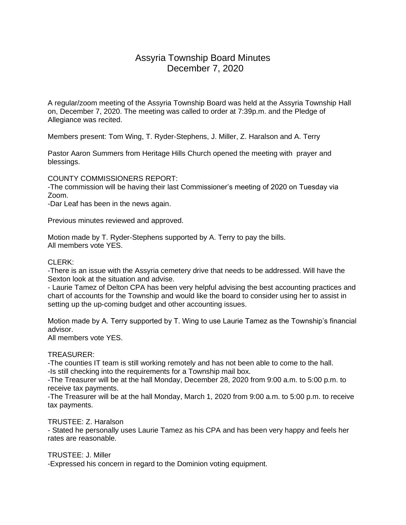# Assyria Township Board Minutes December 7, 2020

A regular/zoom meeting of the Assyria Township Board was held at the Assyria Township Hall on, December 7, 2020. The meeting was called to order at 7:39p.m. and the Pledge of Allegiance was recited.

Members present: Tom Wing, T. Ryder-Stephens, J. Miller, Z. Haralson and A. Terry

Pastor Aaron Summers from Heritage Hills Church opened the meeting with prayer and blessings.

COUNTY COMMISSIONERS REPORT:

-The commission will be having their last Commissioner's meeting of 2020 on Tuesday via Zoom.

-Dar Leaf has been in the news again.

Previous minutes reviewed and approved.

Motion made by T. Ryder-Stephens supported by A. Terry to pay the bills. All members vote YES.

## CLERK:

-There is an issue with the Assyria cemetery drive that needs to be addressed. Will have the Sexton look at the situation and advise.

- Laurie Tamez of Delton CPA has been very helpful advising the best accounting practices and chart of accounts for the Township and would like the board to consider using her to assist in setting up the up-coming budget and other accounting issues.

Motion made by A. Terry supported by T. Wing to use Laurie Tamez as the Township's financial advisor.

All members vote YES.

## TREASURER:

-The counties IT team is still working remotely and has not been able to come to the hall. -Is still checking into the requirements for a Township mail box.

-The Treasurer will be at the hall Monday, December 28, 2020 from 9:00 a.m. to 5:00 p.m. to receive tax payments.

-The Treasurer will be at the hall Monday, March 1, 2020 from 9:00 a.m. to 5:00 p.m. to receive tax payments.

#### TRUSTEE: Z. Haralson

- Stated he personally uses Laurie Tamez as his CPA and has been very happy and feels her rates are reasonable.

TRUSTEE: J. Miller

-Expressed his concern in regard to the Dominion voting equipment.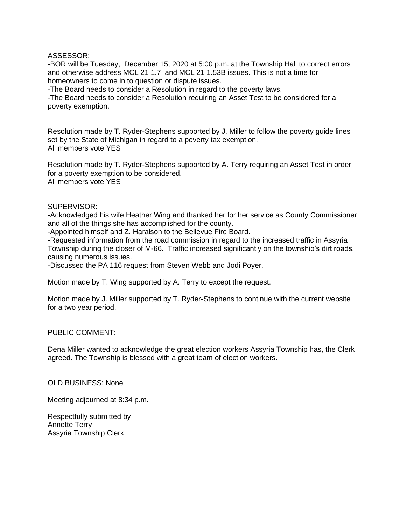ASSESSOR:

-BOR will be Tuesday, December 15, 2020 at 5:00 p.m. at the Township Hall to correct errors and otherwise address MCL 21 1.7 and MCL 21 1.53B issues. This is not a time for homeowners to come in to question or dispute issues.

-The Board needs to consider a Resolution in regard to the poverty laws.

-The Board needs to consider a Resolution requiring an Asset Test to be considered for a poverty exemption.

Resolution made by T. Ryder-Stephens supported by J. Miller to follow the poverty guide lines set by the State of Michigan in regard to a poverty tax exemption. All members vote YES

Resolution made by T. Ryder-Stephens supported by A. Terry requiring an Asset Test in order for a poverty exemption to be considered. All members vote YES

#### SUPERVISOR:

-Acknowledged his wife Heather Wing and thanked her for her service as County Commissioner and all of the things she has accomplished for the county.

-Appointed himself and Z. Haralson to the Bellevue Fire Board.

-Requested information from the road commission in regard to the increased traffic in Assyria Township during the closer of M-66. Traffic increased significantly on the township's dirt roads, causing numerous issues.

-Discussed the PA 116 request from Steven Webb and Jodi Poyer.

Motion made by T. Wing supported by A. Terry to except the request.

Motion made by J. Miller supported by T. Ryder-Stephens to continue with the current website for a two year period.

#### PUBLIC COMMENT:

Dena Miller wanted to acknowledge the great election workers Assyria Township has, the Clerk agreed. The Township is blessed with a great team of election workers.

### OLD BUSINESS: None

Meeting adjourned at 8:34 p.m.

Respectfully submitted by Annette Terry Assyria Township Clerk